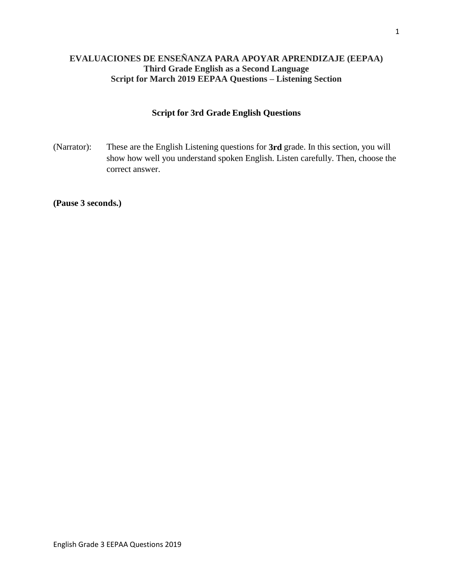# **EVALUACIONES DE ENSEÑANZA PARA APOYAR APRENDIZAJE (EEPAA) Third Grade English as a Second Language Script for March 2019 EEPAA Questions – Listening Section**

# **Script for 3rd Grade English Questions**

(Narrator): These are the English Listening questions for **3rd** grade. In this section, you will show how well you understand spoken English. Listen carefully. Then, choose the correct answer.

**(Pause 3 seconds.)**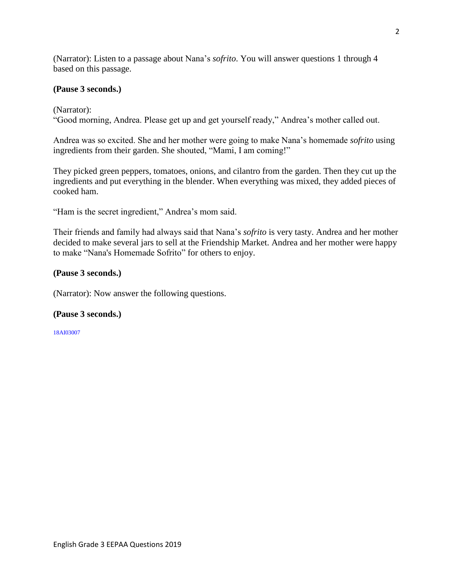(Narrator): Listen to a passage about Nana's *sofrito*. You will answer questions 1 through 4 based on this passage.

### **(Pause 3 seconds.)**

(Narrator):

"Good morning, Andrea. Please get up and get yourself ready," Andrea's mother called out.

Andrea was so excited. She and her mother were going to make Nana's homemade *sofrito* using ingredients from their garden. She shouted, "Mami, I am coming!"

They picked green peppers, tomatoes, onions, and cilantro from the garden. Then they cut up the ingredients and put everything in the blender. When everything was mixed, they added pieces of cooked ham.

"Ham is the secret ingredient," Andrea's mom said.

Their friends and family had always said that Nana's *sofrito* is very tasty. Andrea and her mother decided to make several jars to sell at the Friendship Market. Andrea and her mother were happy to make "Nana's Homemade Sofrito" for others to enjoy.

## **(Pause 3 seconds.)**

(Narrator): Now answer the following questions.

### **(Pause 3 seconds.)**

18AI03007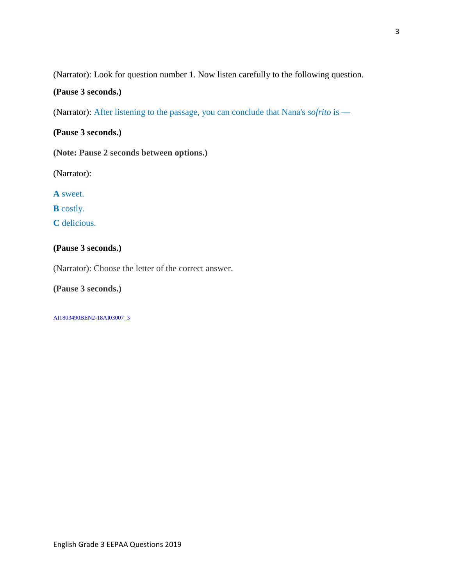(Narrator): Look for question number 1. Now listen carefully to the following question.

## **(Pause 3 seconds.)**

(Narrator): After listening to the passage, you can conclude that Nana's *sofrito* is —

**(Pause 3 seconds.)**

**(Note: Pause 2 seconds between options.)**

(Narrator):

**A** sweet.

**B** costly.

**C** delicious.

## **(Pause 3 seconds.)**

(Narrator): Choose the letter of the correct answer.

**(Pause 3 seconds.)**

AI1803490BEN2-18AI03007\_3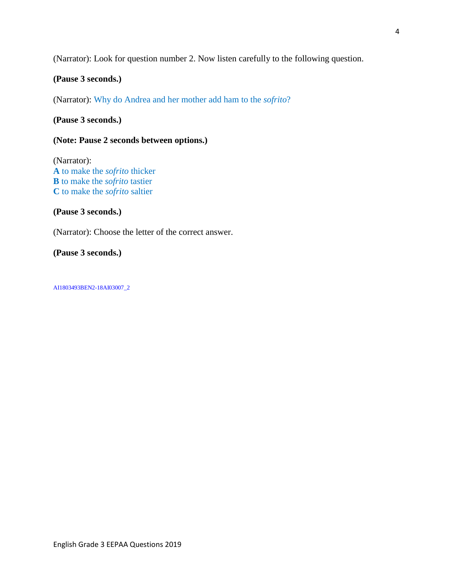(Narrator): Look for question number 2. Now listen carefully to the following question.

### **(Pause 3 seconds.)**

(Narrator): Why do Andrea and her mother add ham to the *sofrito*?

### **(Pause 3 seconds.)**

## **(Note: Pause 2 seconds between options.)**

(Narrator): **A** to make the *sofrito* thicker **B** to make the *sofrito* tastier **C** to make the *sofrito* saltier

### **(Pause 3 seconds.)**

(Narrator): Choose the letter of the correct answer.

#### **(Pause 3 seconds.)**

AI1803493BEN2-18AI03007\_2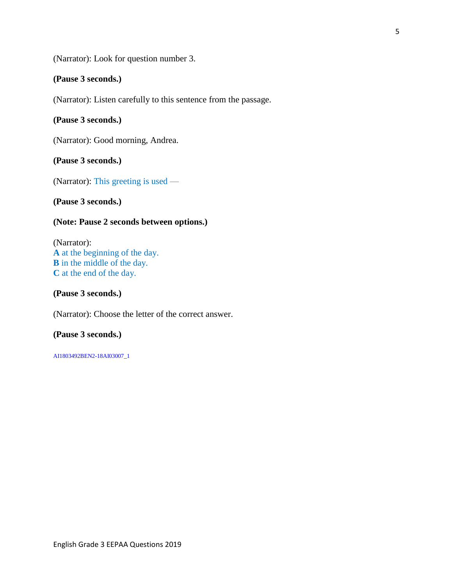(Narrator): Look for question number 3.

#### **(Pause 3 seconds.)**

(Narrator): Listen carefully to this sentence from the passage.

### **(Pause 3 seconds.)**

(Narrator): Good morning, Andrea.

#### **(Pause 3 seconds.)**

(Narrator): This greeting is used —

**(Pause 3 seconds.)**

## **(Note: Pause 2 seconds between options.)**

(Narrator): **A** at the beginning of the day. **B** in the middle of the day. **C** at the end of the day.

#### **(Pause 3 seconds.)**

(Narrator): Choose the letter of the correct answer.

### **(Pause 3 seconds.)**

AI1803492BEN2-18AI03007\_1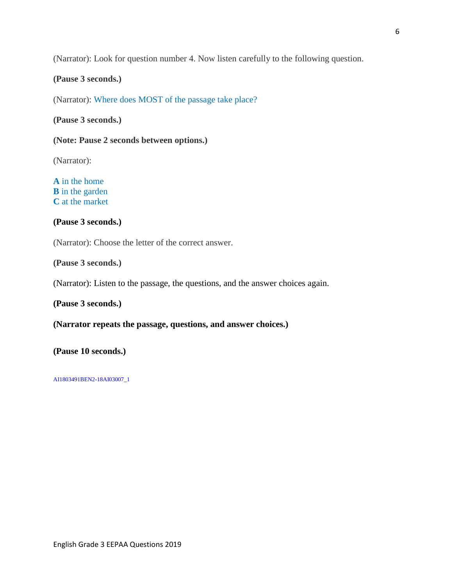(Narrator): Look for question number 4. Now listen carefully to the following question.

#### **(Pause 3 seconds.)**

(Narrator): Where does MOST of the passage take place?

### **(Pause 3 seconds.)**

**(Note: Pause 2 seconds between options.)**

(Narrator):

**A** in the home **B** in the garden **C** at the market

## **(Pause 3 seconds.)**

(Narrator): Choose the letter of the correct answer.

**(Pause 3 seconds.)**

(Narrator): Listen to the passage, the questions, and the answer choices again.

#### **(Pause 3 seconds.)**

#### **(Narrator repeats the passage, questions, and answer choices.)**

**(Pause 10 seconds.)**

AI1803491BEN2-18AI03007\_1